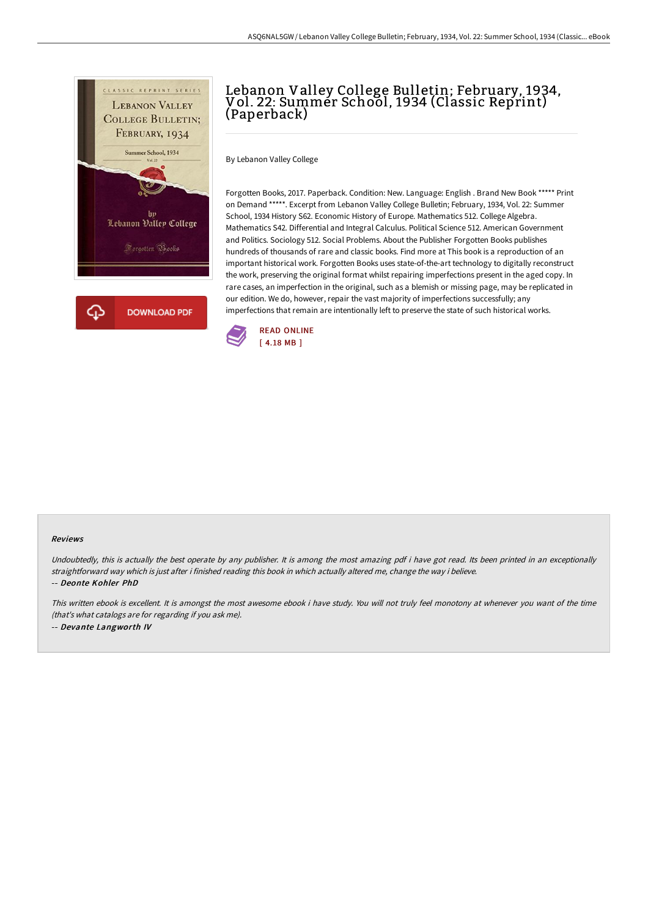

# Lebanon Valley College Bulletin; February, 1934, Vol. 22: Summer School, 1934 (Classic Reprint) (Paperback)

By Lebanon Valley College

Forgotten Books, 2017. Paperback. Condition: New. Language: English . Brand New Book \*\*\*\*\* Print on Demand \*\*\*\*\*. Excerpt from Lebanon Valley College Bulletin; February, 1934, Vol. 22: Summer School, 1934 History S62. Economic History of Europe. Mathematics 512. College Algebra. Mathematics S42. Differential and Integral Calculus. Political Science 512. American Government and Politics. Sociology 512. Social Problems. About the Publisher Forgotten Books publishes hundreds of thousands of rare and classic books. Find more at This book is a reproduction of an important historical work. Forgotten Books uses state-of-the-art technology to digitally reconstruct the work, preserving the original format whilst repairing imperfections present in the aged copy. In rare cases, an imperfection in the original, such as a blemish or missing page, may be replicated in our edition. We do, however, repair the vast majority of imperfections successfully; any imperfections that remain are intentionally left to preserve the state of such historical works.



#### Reviews

Undoubtedly, this is actually the best operate by any publisher. It is among the most amazing pdf i have got read. Its been printed in an exceptionally straightforward way which is just after i finished reading this book in which actually altered me, change the way i believe. -- Deonte Kohler PhD

This written ebook is excellent. It is amongst the most awesome ebook i have study. You will not truly feel monotony at whenever you want of the time (that's what catalogs are for regarding if you ask me). -- Devante Langworth IV